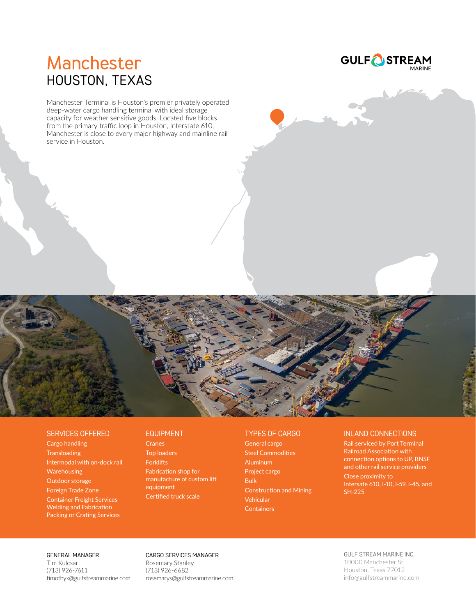

––<br>MARINE

# **Manchester** HOUSTON, TEXAS

Manchester Terminal is Houston's premier privately operated deep-water cargo handling terminal with ideal storage capacity for weather sensitive goods. Located five blocks from the primary traffic loop in Houston, Interstate 610, Manchester is close to every major highway and mainline rail service in Houston.



## SERVICES OFFERED

Cargo handling **Transloading** Intermodal with on-dock rail Warehousing Outdoor storage Foreign Trade Zone Container Freight Services Welding and Fabrication Packing or Crating Services

### EQUIPMENT

**Cranes** Top loaders **Forklifts** Fabrication shop for manufacture of custom lift equipment Certified truck scale

# TYPES OF CARGO

General cargo Steel Commodities Aluminum Project cargo Bulk Construction and Mining Vehicular **Containers** 

# INLAND CONNECTIONS

Rail serviced by Port Terminal Railroad Association with connection options to UP, BNSF and other rail service providers Close proximity to Intersate 610, I-10, I-59, I-45, and SH-225

### GENERAL MANAGER

Tim Kulcsar (713) 926-7611 timothyk@gulfstreammarine.com

# CARGO SERVICES MANAGER

Rosemary Stanley (713) 926-6682 rosemarys@gulfstreammarine.com

# GULF STREAM MARINE INC.

10000 Manchester St. Houston, Texas 77012 info@gulfstreammarine.com